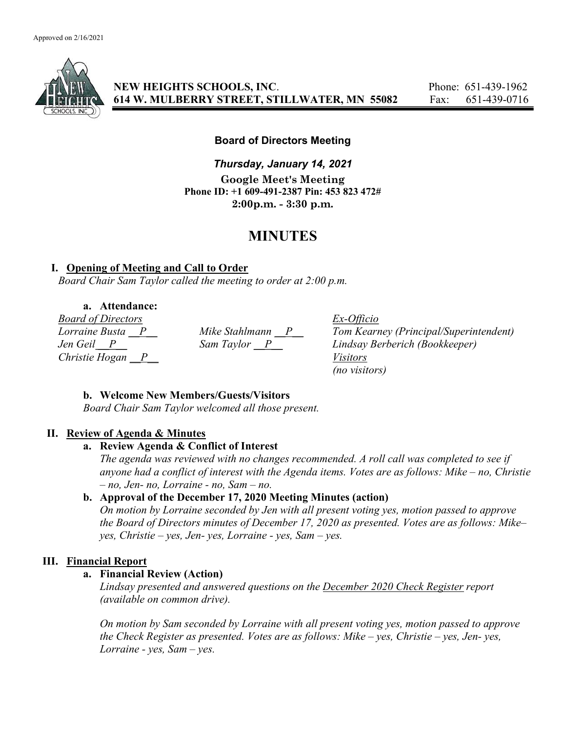

NEW HEIGHTS SCHOOLS, INC. Phone: 651-439-1962 614 W. MULBERRY STREET, STILLWATER, MN 55082 Fax: 651-439-0716

## Board of Directors Meeting

Thursday, January 14, 2021 Google Meet's Meeting Phone ID: +1 609-491-2387 Pin: 453 823 472# 2:00p.m. - 3:30 p.m.

# MINUTES

## I. Opening of Meeting and Call to Order

Board Chair Sam Taylor called the meeting to order at 2:00 p.m.

## a. Attendance:

Board of Directors Ex-Officio Christie Hogan  $\overline{P}$  Visitors

Lorraine Busta  $\frac{P}{P}$  Mike Stahlmann  $\frac{P}{P}$  Tom Kearney (Principal/Superintendent)<br>Jen Geil  $\frac{P}{P}$  Sam Taylor  $\frac{P}{P}$  Lindsay Berberich (Bookkeeper) Jen Geil P Sam Taylor P Lindsay Berberich (Bookkeeper) (no visitors)

## b. Welcome New Members/Guests/Visitors

Board Chair Sam Taylor welcomed all those present.

#### II. Review of Agenda & Minutes

#### a. Review Agenda & Conflict of Interest

The agenda was reviewed with no changes recommended. A roll call was completed to see if anyone had a conflict of interest with the Agenda items. Votes are as follows: Mike – no, Christie  $- no$ , Jen- no, Lorraine - no, Sam  $- no$ .

## b. Approval of the December 17, 2020 Meeting Minutes (action)

On motion by Lorraine seconded by Jen with all present voting yes, motion passed to approve the Board of Directors minutes of December 17, 2020 as presented. Votes are as follows: Mike–  $yes, Christie - yes, Jen- yes, Lorraine - yes, Sam - ves.$ 

## III. Financial Report

#### a. Financial Review (Action)

Lindsay presented and answered questions on the December 2020 Check Register report (available on common drive).

On motion by Sam seconded by Lorraine with all present voting yes, motion passed to approve the Check Register as presented. Votes are as follows: Mike – yes, Christie – yes, Jen- yes, Lorraine - yes,  $Sam - yes$ .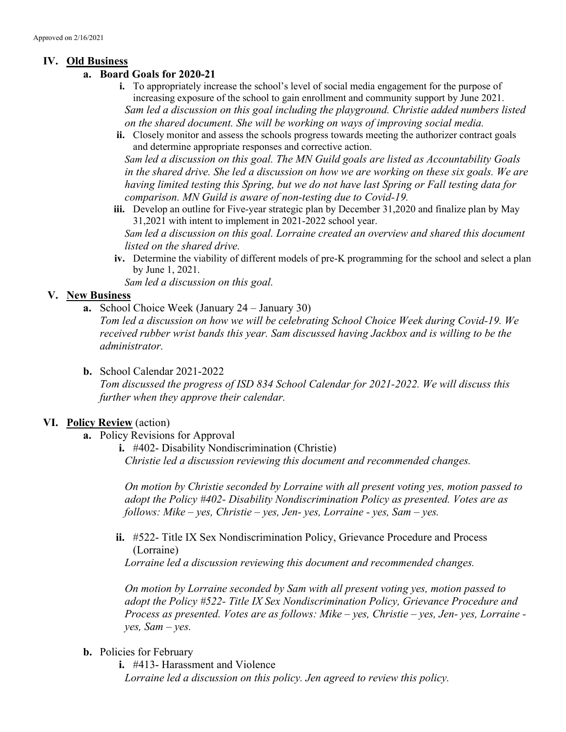## IV. Old Business

- a. Board Goals for 2020-21
	- i. To appropriately increase the school's level of social media engagement for the purpose of increasing exposure of the school to gain enrollment and community support by June 2021. Sam led a discussion on this goal including the playground. Christie added numbers listed on the shared document. She will be working on ways of improving social media.
	- ii. Closely monitor and assess the schools progress towards meeting the authorizer contract goals and determine appropriate responses and corrective action.

Sam led a discussion on this goal. The MN Guild goals are listed as Accountability Goals in the shared drive. She led a discussion on how we are working on these six goals. We are having limited testing this Spring, but we do not have last Spring or Fall testing data for comparison. MN Guild is aware of non-testing due to Covid-19.

iii. Develop an outline for Five-year strategic plan by December 31,2020 and finalize plan by May 31,2021 with intent to implement in 2021-2022 school year.

Sam led a discussion on this goal. Lorraine created an overview and shared this document listed on the shared drive.

iv. Determine the viability of different models of pre-K programming for the school and select a plan by June 1, 2021.

Sam led a discussion on this goal.

## V. New Business

a. School Choice Week (January 24 – January 30)

Tom led a discussion on how we will be celebrating School Choice Week during Covid-19. We received rubber wrist bands this year. Sam discussed having Jackbox and is willing to be the administrator.

b. School Calendar 2021-2022

Tom discussed the progress of ISD 834 School Calendar for 2021-2022. We will discuss this further when they approve their calendar.

## VI. Policy Review (action)

- a. Policy Revisions for Approval
	- i. #402- Disability Nondiscrimination (Christie) Christie led a discussion reviewing this document and recommended changes.

On motion by Christie seconded by Lorraine with all present voting yes, motion passed to adopt the Policy #402- Disability Nondiscrimination Policy as presented. Votes are as follows: Mike – yes, Christie – yes, Jen- yes, Lorraine - yes, Sam – yes.

ii. #522- Title IX Sex Nondiscrimination Policy, Grievance Procedure and Process (Lorraine)

Lorraine led a discussion reviewing this document and recommended changes.

On motion by Lorraine seconded by Sam with all present voting yes, motion passed to adopt the Policy #522- Title IX Sex Nondiscrimination Policy, Grievance Procedure and Process as presented. Votes are as follows: Mike – yes, Christie – yes, Jen- yes, Lorraine  $ves, Sam-ves.$ 

- b. Policies for February
	- i. #413- Harassment and Violence Lorraine led a discussion on this policy. Jen agreed to review this policy.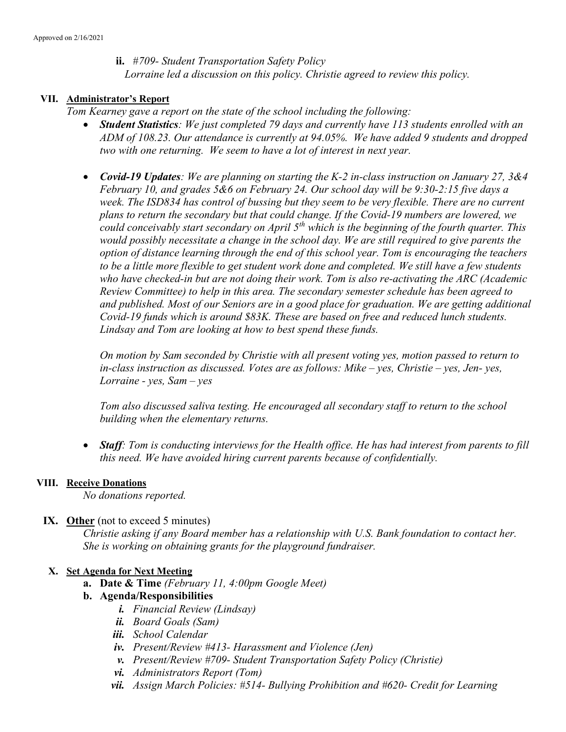ii. #709- Student Transportation Safety Policy Lorraine led a discussion on this policy. Christie agreed to review this policy.

#### VII. Administrator's Report

Tom Kearney gave a report on the state of the school including the following:

- Student Statistics: We just completed 79 days and currently have 113 students enrolled with an ADM of 108.23. Our attendance is currently at 94.05%. We have added 9 students and dropped two with one returning. We seem to have a lot of interest in next year.
- Covid-19 Updates: We are planning on starting the K-2 in-class instruction on January 27, 3&4 February 10, and grades 5&6 on February 24. Our school day will be 9:30-2:15 five days a week. The ISD834 has control of bussing but they seem to be very flexible. There are no current plans to return the secondary but that could change. If the Covid-19 numbers are lowered, we could conceivably start secondary on April  $5<sup>th</sup>$  which is the beginning of the fourth quarter. This would possibly necessitate a change in the school day. We are still required to give parents the option of distance learning through the end of this school year. Tom is encouraging the teachers to be a little more flexible to get student work done and completed. We still have a few students who have checked-in but are not doing their work. Tom is also re-activating the ARC (Academic Review Committee) to help in this area. The secondary semester schedule has been agreed to and published. Most of our Seniors are in a good place for graduation. We are getting additional Covid-19 funds which is around \$83K. These are based on free and reduced lunch students. Lindsay and Tom are looking at how to best spend these funds.

On motion by Sam seconded by Christie with all present voting yes, motion passed to return to in-class instruction as discussed. Votes are as follows: Mike – yes, Christie – yes, Jen- yes, Lorraine - yes,  $Sam - yes$ 

Tom also discussed saliva testing. He encouraged all secondary staff to return to the school building when the elementary returns.

• Staff: Tom is conducting interviews for the Health office. He has had interest from parents to fill this need. We have avoided hiring current parents because of confidentially.

#### VIII. Receive Donations

No donations reported.

#### IX. Other (not to exceed 5 minutes)

Christie asking if any Board member has a relationship with U.S. Bank foundation to contact her. She is working on obtaining grants for the playground fundraiser.

#### X. Set Agenda for Next Meeting

**a.** Date & Time (February 11, 4:00pm Google Meet)

#### b. Agenda/Responsibilities

- i. Financial Review (Lindsay)
- ii. Board Goals (Sam)
- iii. School Calendar
- iv. Present/Review #413- Harassment and Violence (Jen)
- v. Present/Review #709- Student Transportation Safety Policy (Christie)
- vi. Administrators Report (Tom)
- vii. Assign March Policies:  $#514$  Bullying Prohibition and  $#620$  Credit for Learning